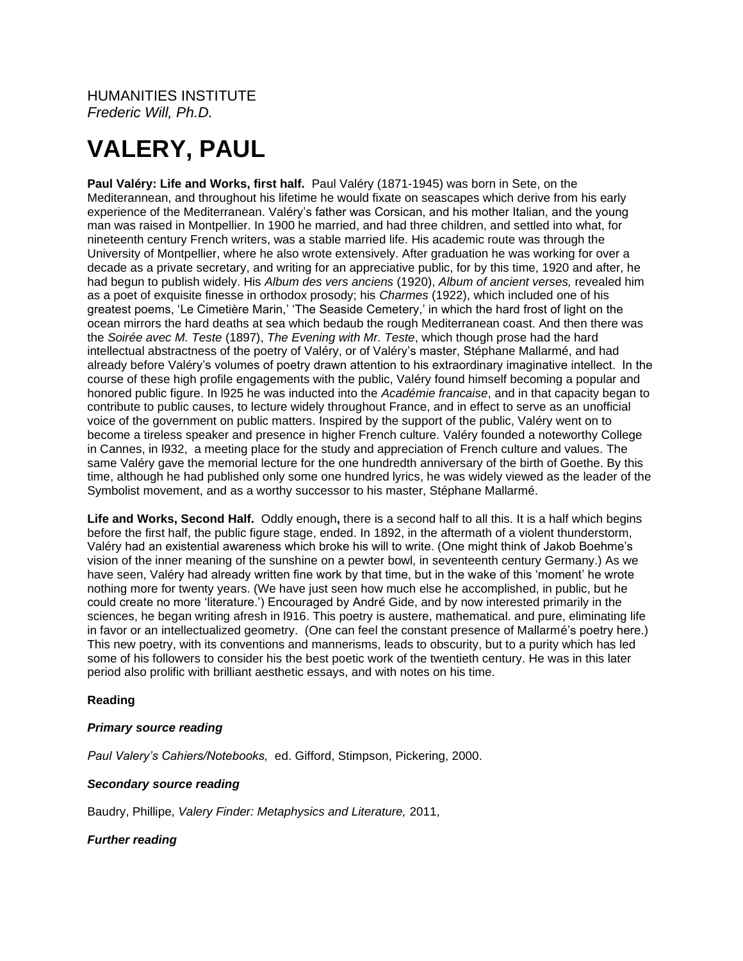## HUMANITIES INSTITUTE *Frederic Will, Ph.D.*

# **VALERY, PAUL**

**Paul Valéry: Life and Works, first half.** Paul Valéry (1871-1945) was born in Sete, on the Mediterannean, and throughout his lifetime he would fixate on seascapes which derive from his early experience of the Mediterranean. Valéry's father was Corsican, and his mother Italian, and the young man was raised in Montpellier. In 1900 he married, and had three children, and settled into what, for nineteenth century French writers, was a stable married life. His academic route was through the University of Montpellier, where he also wrote extensively. After graduation he was working for over a decade as a private secretary, and writing for an appreciative public, for by this time, 1920 and after, he had begun to publish widely. His *Album des vers anciens* (1920), *Album of ancient verses,* revealed him as a poet of exquisite finesse in orthodox prosody; his *Charmes* (1922), which included one of his greatest poems, 'Le Cimetière Marin,' 'The Seaside Cemetery,' in which the hard frost of light on the ocean mirrors the hard deaths at sea which bedaub the rough Mediterranean coast. And then there was the *Soirée avec M. Teste* (1897), *The Evening with Mr. Teste*, which though prose had the hard intellectual abstractness of the poetry of Valéry, or of Valéry's master, Stéphane Mallarmé, and had already before Valéry's volumes of poetry drawn attention to his extraordinary imaginative intellect. In the course of these high profile engagements with the public, Valéry found himself becoming a popular and honored public figure. In l925 he was inducted into the *Académie francaise*, and in that capacity began to contribute to public causes, to lecture widely throughout France, and in effect to serve as an unofficial voice of the government on public matters. Inspired by the support of the public, Valéry went on to become a tireless speaker and presence in higher French culture. Valéry founded a noteworthy College in Cannes, in l932, a meeting place for the study and appreciation of French culture and values. The same Valéry gave the memorial lecture for the one hundredth anniversary of the birth of Goethe. By this time, although he had published only some one hundred lyrics, he was widely viewed as the leader of the Symbolist movement, and as a worthy successor to his master, Stéphane Mallarmé.

**Life and Works, Second Half.** Oddly enough**,** there is a second half to all this. It is a half which begins before the first half, the public figure stage, ended. In 1892, in the aftermath of a violent thunderstorm, Valéry had an existential awareness which broke his will to write. (One might think of Jakob Boehme's vision of the inner meaning of the sunshine on a pewter bowl, in seventeenth century Germany.) As we have seen, Valéry had already written fine work by that time, but in the wake of this 'moment' he wrote nothing more for twenty years. (We have just seen how much else he accomplished, in public, but he could create no more 'literature.') Encouraged by André Gide, and by now interested primarily in the sciences, he began writing afresh in l916. This poetry is austere, mathematical. and pure, eliminating life in favor or an intellectualized geometry. (One can feel the constant presence of Mallarmé's poetry here.) This new poetry, with its conventions and mannerisms, leads to obscurity, but to a purity which has led some of his followers to consider his the best poetic work of the twentieth century. He was in this later period also prolific with brilliant aesthetic essays, and with notes on his time.

### **Reading**

#### *Primary source reading*

*Paul Valery's Cahiers/Notebooks,* ed. Gifford, Stimpson, Pickering, 2000.

#### *Secondary source reading*

Baudry, Phillipe, *Valery Finder: Metaphysics and Literature,* 2011,

*Further reading*